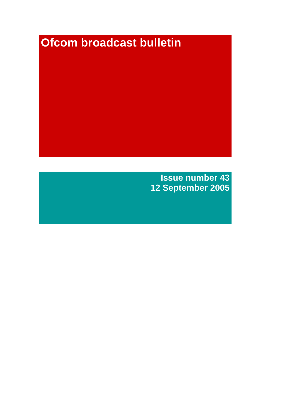# **Ofcom broadcast bulletin**

**Issue number 43 12 September 2005**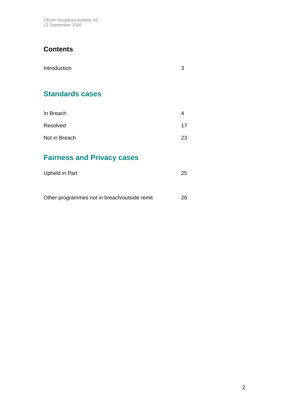Ofcom broadcast bulletin 43 12 September 2005

# **Contents**

| Introduction           | 3  |
|------------------------|----|
| <b>Standards cases</b> |    |
| In Breach              | 4  |
| Resolved               | 17 |
| Not in Breach          | 23 |

# **Fairness and Privacy cases**

| Upheld in Part | 25 |
|----------------|----|
|                |    |

| Other programmes not in breach/outside remit | 26 |
|----------------------------------------------|----|
|----------------------------------------------|----|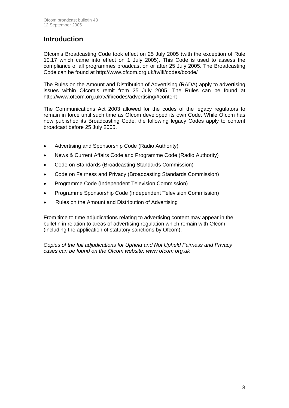## **Introduction**

Ofcom's Broadcasting Code took effect on 25 July 2005 (with the exception of Rule 10.17 which came into effect on 1 July 2005). This Code is used to assess the compliance of all programmes broadcast on or after 25 July 2005. The Broadcasting Code can be found at http://www.ofcom.org.uk/tv/ifi/codes/bcode/

The Rules on the Amount and Distribution of Advertising (RADA) apply to advertising issues within Ofcom's remit from 25 July 2005. The Rules can be found at http://www.ofcom.org.uk/tv/ifi/codes/advertising/#content

The Communications Act 2003 allowed for the codes of the legacy regulators to remain in force until such time as Ofcom developed its own Code. While Ofcom has now published its Broadcasting Code, the following legacy Codes apply to content broadcast before 25 July 2005.

- Advertising and Sponsorship Code (Radio Authority)
- News & Current Affairs Code and Programme Code (Radio Authority)
- Code on Standards (Broadcasting Standards Commission)
- Code on Fairness and Privacy (Broadcasting Standards Commission)
- Programme Code (Independent Television Commission)
- Programme Sponsorship Code (Independent Television Commission)
- Rules on the Amount and Distribution of Advertising

From time to time adjudications relating to advertising content may appear in the bulletin in relation to areas of advertising regulation which remain with Ofcom (including the application of statutory sanctions by Ofcom).

*Copies of the full adjudications for Upheld and Not Upheld Fairness and Privacy cases can be found on the Ofcom website: www.ofcom.org.uk*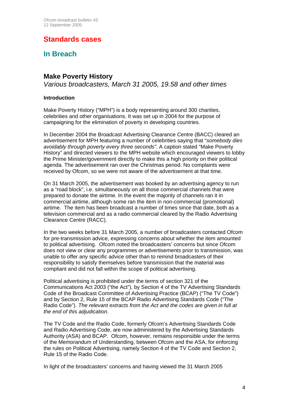# **Standards cases**

## **In Breach**

### **Make Poverty History**

*Various broadcasters, March 31 2005, 19.58 and other times*

#### **Introduction**

Make Poverty History ("MPH") is a body representing around 300 charities, celebrities and other organisations. It was set up in 2004 for the purpose of campaigning for the elimination of poverty in developing countries.

In December 2004 the Broadcast Advertising Clearance Centre (BACC) cleared an advertisement for MPH featuring a number of celebrities saying that "*somebody dies avoidably through poverty every three seconds"*. A caption stated "Make Poverty History" and directed viewers to the MPH website which encouraged viewers to lobby the Prime Minister/government directly to make this a high priority on their political agenda. The advertisement ran over the Christmas period. No complaints were received by Ofcom, so we were not aware of the advertisement at that time.

On 31 March 2005, the advertisement was booked by an advertising agency to run as a "road block", i.e. simultaneously on all those commercial channels that were prepared to donate the airtime. In the event the majority of channels ran it in commercial airtime, although some ran the item in non-commercial (promotional) airtime. The item has been broadcast a number of times since that date, both as a television commercial and as a radio commercial cleared by the Radio Advertising Clearance Centre (RACC).

In the two weeks before 31 March 2005, a number of broadcasters contacted Ofcom for pre-transmission advice, expressing concerns about whether the item amounted to political advertising. Ofcom noted the broadcasters' concerns but since Ofcom does not view or clear any programmes or advertisements prior to transmission, was unable to offer any specific advice other than to remind broadcasters of their responsibility to satisfy themselves before transmission that the material was compliant and did not fall within the scope of political advertising.

Political advertising is prohibited under the terms of section 321 of the Communications Act 2003 ("the Act"), by Section 4 of the TV Advertising Standards Code of the Broadcast Committee of Advertising Practice (BCAP) ("The TV Code") and by Section 2, Rule 15 of the BCAP Radio Advertising Standards Code ("The Radio Code"). *The relevant extracts from the Act and the codes are given in full at the end of this adjudication*.

The TV Code and the Radio Code, formerly Ofcom's Advertising Standards Code and Radio Advertising Code, are now administered by the Advertising Standards Authority (ASA) and BCAP. Ofcom, however, remains responsible under the terms of the Memorandum of Understanding, between Ofcom and the ASA, for enforcing the rules on Political Advertising, namely Section 4 of the TV Code and Section 2, Rule 15 of the Radio Code.

In light of the broadcasters' concerns and having viewed the 31 March 2005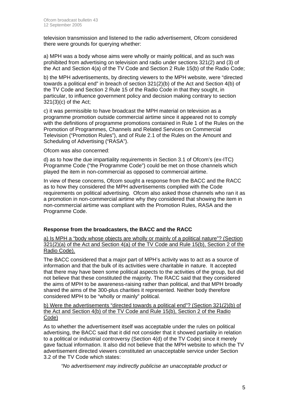television transmission and listened to the radio advertisement, Ofcom considered there were grounds for querying whether:

a) MPH was a body whose aims were wholly or mainly political, and as such was prohibited from advertising on television and radio under sections 321(2) and (3) of the Act and Section 4(a) of the TV Code and Section 2 Rule 15(b) of the Radio Code;

b) the MPH advertisements, by directing viewers to the MPH website, were "directed towards a political end" in breach of section 321(2)(b) of the Act and Section 4(b) of the TV Code and Section 2 Rule 15 of the Radio Code in that they sought, in particular, to influence government policy and decision making contrary to section 321(3)(c) of the Act;

c) it was permissible to have broadcast the MPH material on television as a programme promotion outside commercial airtime since it appeared not to comply with the definitions of programme promotions contained in Rule 1 of the Rules on the Promotion of Programmes, Channels and Related Services on Commercial Television ("Promotion Rules"), and of Rule 2.1 of the Rules on the Amount and Scheduling of Advertising ("RASA").

Ofcom was also concerned:

d) as to how the due impartiality requirements in Section 3.1 of Ofcom's (ex-ITC) Programme Code ("the Programme Code") could be met on those channels which played the item in non-commercial as opposed to commercial airtime.

In view of these concerns, Ofcom sought a response from the BACC and the RACC as to how they considered the MPH advertisements complied with the Code requirements on political advertising. Ofcom also asked those channels who ran it as a promotion in non-commercial airtime why they considered that showing the item in non-commercial airtime was compliant with the Promotion Rules, RASA and the Programme Code.

#### **Response from the broadcasters, the BACC and the RACC**

a) Is MPH a "body whose objects are wholly or mainly of a political nature"? (Section 321(2)(a) of the Act and Section 4(a) of the TV Code and Rule 15(b), Section 2 of the Radio Code).

The BACC considered that a major part of MPH's activity was to act as a source of information and that the bulk of its activities were charitable in nature. It accepted that there may have been some political aspects to the activities of the group, but did not believe that these constituted the majority. The RACC said that they considered the aims of MPH to be awareness-raising rather than political, and that MPH broadly shared the aims of the 300-plus charities it represented. Neither body therefore considered MPH to be "wholly or mainly" political.

b) Were the advertisements "directed towards a political end"? (Section 321(2)(b) of the Act and Section 4(b) of the TV Code and Rule 15(b), Section 2 of the Radio Code)

As to whether the advertisement itself was acceptable under the rules on political advertising, the BACC said that it did not consider that it showed partiality in relation to a political or industrial controversy (Section 4(d) of the TV Code) since it merely gave factual information. It also did not believe that the MPH website to which the TV advertisement directed viewers constituted an unacceptable service under Section 3.2 of the TV Code which states:

*"No advertisement may indirectly publicise an unacceptable product or*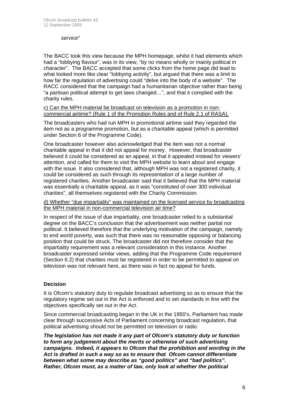#### *service"*

The BACC took this view because the MPH homepage, whilst it had elements which had a "lobbying flavour", was in its view, "by no means wholly or mainly political in character". The BACC accepted that some clicks from the home page did lead to what looked more like clear "lobbying activity", but argued that there was a limit to how far the regulation of advertising could "delve into the body of a website". The RACC considered that the campaign had a humanitarian objective rather than being "a partisan political attempt to get laws changed…", and that it complied with the charity rules.

#### c) Can the MPH material be broadcast on television as a promotion in noncommercial airtime? (Rule 1 of the Promotion Rules and of Rule 2.1 of RASA).

The broadcasters who had run MPH in promotional airtime said they regarded the item not as a programme promotion, but as a charitable appeal (which is permitted under Section 6 of the Programme Code).

One broadcaster however also acknowledged that the item was not a normal charitable appeal in that it did not appeal for money. However, that broadcaster believed it could be considered as an appeal, in that it appealed instead for viewers' attention, and called for them to visit the MPH website to learn about and engage with the issue. It also considered that, although MPH was not a registered charity, it could be considered as such through its representation of a large number of registered charities. Another broadcaster said that it believed that the MPH material was essentially a charitable appeal, as it was "constituted of over 300 individual charities", all themselves registered with the Charity Commission.

d) Whether "due impartiality" was maintained on the licensed service by broadcasting the MPH material in non-commercial television air time?

In respect of the issue of due impartiality, one broadcaster relied to a substantial degree on the BACC's conclusion that the advertisement was neither partial nor political. It believed therefore that the underlying motivation of the campaign, namely to end world poverty, was such that there was no reasonable opposing or balancing position that could be struck. The broadcaster did not therefore consider that the impartiality requirement was a relevant consideration in this instance. Another broadcaster expressed similar views, adding that the Programme Code requirement (Section 6.2) that charities must be registered in order to be permitted to appeal on television was not relevant here, as there was in fact no appeal for funds.

#### **Decision**

It is Ofcom's statutory duty to regulate broadcast advertising so as to ensure that the regulatory regime set out in the Act is enforced and to set standards in line with the objectives specifically set out in the Act.

Since commercial broadcasting began in the UK in the 1950's, Parliament has made clear through successive Acts of Parliament concerning broadcast regulation, that political advertising should not be permitted on television or radio.

*The legislation has not made it any part of Ofcom's statutory duty or function to form any judgement about the merits or otherwise of such advertising campaigns. Indeed, it appears to Ofcom that the prohibition and wording in the Act is drafted in such a way so as to ensure that Ofcom cannot differentiate between what some may describe as "good politics" and "bad politics". Rather, Ofcom must, as a matter of law, only look at whether the political*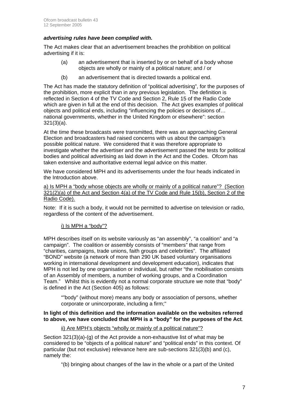#### *advertising rules have been complied with.*

The Act makes clear that an advertisement breaches the prohibition on political advertising if it is:

- (a) an advertisement that is inserted by or on behalf of a body whose objects are wholly or mainly of a political nature; and / or
- (b) an advertisement that is directed towards a political end.

The Act has made the statutory definition of "political advertising", for the purposes of the prohibition, more explicit than in any previous legislation. The definition is reflected in Section 4 of the TV Code and Section 2, Rule 15 of the Radio Code which are given in full at the end of this decision. The Act gives examples of political objects and political ends, including "influencing the policies or decisions of… national governments, whether in the United Kingdom or elsewhere": section 321(3)(a).

At the time these broadcasts were transmitted, there was an approaching General Election and broadcasters had raised concerns with us about the campaign's possible political nature. We considered that it was therefore appropriate to investigate whether the advertiser and the advertisement passed the tests for political bodies and political advertising as laid down in the Act and the Codes. Ofcom has taken extensive and authoritative external legal advice on this matter.

We have considered MPH and its advertisements under the four heads indicated in the Introduction above.

a) Is MPH a "body whose objects are wholly or mainly of a political nature"? (Section 321(2)(a) of the Act and Section 4(a) of the TV Code and Rule 15(b), Section 2 of the Radio Code).

Note: If it is such a body, it would not be permitted to advertise on television or radio, regardless of the content of the advertisement.

### i) Is MPH a "body"?

MPH describes itself on its website variously as "an assembly", "a coalition" and "a campaign". The coalition or assembly consists of "members" that range from "charities*,* campaigns, trade unions, faith groups and celebrities". The affiliated "BOND" website (a network of more than 290 UK based voluntary organisations working in international development and development education), indicates that MPH is not led by one organisation or individual, but rather "the mobilisation consists of an Assembly of members, a number of working groups, and a Coordination Team."Whilst this is evidently not a normal corporate structure we note that "body" is defined in the Act (Section 405) as follows:

""body" (without more) means any body or association of persons, whether corporate or unincorporate, including a firm;"

#### **In light of this definition and the information available on the websites referred to above, we have concluded that MPH is a "body" for the purposes of the Act***.*

#### ii) Are MPH's objects "wholly or mainly of a political nature"?

Section 321(3)(a)-(g) of the Act provide a non-exhaustive list of what may be considered to be "objects of a political nature" and "political ends" in this context. Of particular (but not exclusive) relevance here are sub-sections 321(3)(b) and (c), namely the:

"(b) bringing about changes of the law in the whole or a part of the United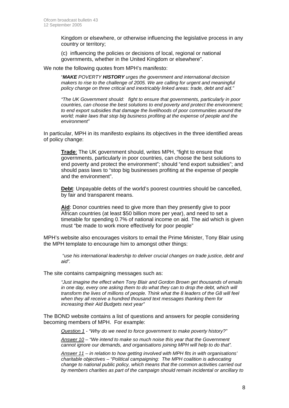Kingdom or elsewhere, or otherwise influencing the legislative process in any country or territory;

(c) influencing the policies or decisions of local, regional or national governments, whether in the United Kingdom or elsewhere".

We note the following quotes from MPH's manifesto:

"*MAKE POVERTY HISTORY urges the government and international decision makers to rise to the challenge of 2005. We are calling for urgent and meaningful policy change on three critical and inextricably linked areas: trade, debt and aid."* 

*"The UK Government should: fight to ensure that governments, particularly in poor countries, can choose the best solutions to end poverty and protect the environment; to end export subsidies that damage the livelihoods of poor communities around the world; make laws that stop big business profiting at the expense of people and the environment"* 

In particular, MPH in its manifesto explains its objectives in the three identified areas of policy change:

**Trade**: The UK government should, writes MPH, "fight to ensure that governments, particularly in poor countries, can choose the best solutions to end poverty and protect the environment"; should "end export subsidies"; and should pass laws to "stop big businesses profiting at the expense of people and the environment".

**Debt**: Unpayable debts of the world's poorest countries should be cancelled, by fair and transparent means.

**Aid**: Donor countries need to give more than they presently give to poor African countries (at least \$50 billion more per year), and need to set a timetable for spending 0.7% of national income on aid. The aid which is given must "be made to work more effectively for poor people"

MPH's website also encourages visitors to email the Prime Minister, Tony Blair using the MPH template to encourage him to amongst other things:

"*use his international leadership to deliver crucial changes on trade justice, debt and aid".*

The site contains campaigning messages such as:

*"Just imagine the effect when Tony Blair and Gordon Brown get thousands of emails in one day, every one asking them to do what they can to drop the debt, which will transform the lives of millions of people. Think what the 8 leaders of the G8 will feel when they all receive a hundred thousand text messages thanking them for increasing their Aid Budgets next year"*

The BOND website contains a list of questions and answers for people considering becoming members of MPH. For example:

*Question 1 - "Why do we need to force government to make poverty history?"* 

*Answer 10 – "We intend to make so much noise this year that the Government cannot ignore our demands, and organisations joining MPH will help to do that".* 

*Answer 11 – in relation to how getting involved with MPH fits in with organisations' charitable objectives – "Political campaigning: The MPH coalition is advocating change to national public policy, which means that the common activities carried out by members charities as part of the campaign should remain incidental or ancillary to*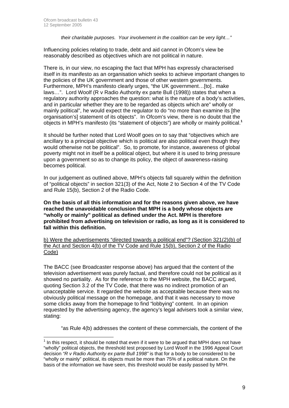*their charitable purposes. Your involvement in the coalition can be very light…"* 

Influencing policies relating to trade, debt and aid cannot in Ofcom's view be reasonably described as objectives which are not political in nature.

There is, in our view, no escaping the fact that MPH has expressly characterised itself in its manifesto as an organisation which seeks to achieve important changes to the policies of the UK government and those of other western governments. Furthermore, MPH's manifesto clearly urges, "the UK government…[to].. make laws…". Lord Woolf (R v Radio Authority ex parte Bull (1998)) states that when a regulatory authority approaches the question: what is the nature of a body's activities, and in particular whether they are to be regarded as objects which are" wholly or mainly political", he would expect the regulator to do "no more than examine its [the organisation's] statement of its objects". In Ofcom's view, there is no doubt that the objects in MPH's manifesto (its "statement of objects") are wholly or mainly political.**<sup>1</sup>**

It should be further noted that Lord Woolf goes on to say that "objectives which are ancillary to a principal objective which is political are also political even though they would otherwise not be political". So, to promote, for instance, awareness of global poverty might not in itself be a political object, but where it is used to bring pressure upon a government so as to change its policy, the object of awareness-raising becomes political.

In our judgement as outlined above, MPH's objects fall squarely within the definition of "political objects" in section 321(3) of the Act, Note 2 to Section 4 of the TV Code and Rule 15(b), Section 2 of the Radio Code.

**On the basis of all this information and for the reasons given above, we have reached the unavoidable conclusion that MPH is a body whose objects are "wholly or mainly" political as defined under the Act. MPH is therefore prohibited from advertising on television or radio, as long as it is considered to fall within this definition.** 

b) Were the advertisements "directed towards a political end"? (Section 321(2)(b) of the Act and Section 4(b) of the TV Code and Rule 15(b), Section 2 of the Radio Code)

The BACC (see Broadcaster response above) has argued that the content of the television advertisement was purely factual, and therefore could not be political as it showed no partiality. As for the reference to the MPH website, the BACC argued, quoting Section 3.2 of the TV Code, that there was no indirect promotion of an unacceptable service. It regarded the website as acceptable because there was no obviously political message on the homepage, and that it was necessary to move some clicks away from the homepage to find "lobbying" content. In an opinion requested by the advertising agency, the agency's legal advisers took a similar view, stating:

"as Rule 4(b) addresses the content of these commercials, the content of the

<sup>1</sup> In this respect, it should be noted that even if it were to be argued that MPH does not have "wholly" political objects, the threshold test proposed by Lord Woolf in the 1996 Appeal Court decision *"R v Radio Authority ex parte Bull 1998"* is that for a body to be considered to be "wholly or mainly" political, its objects must be more than 75% of a political nature. On the basis of the information we have seen, this threshold would be easily passed by MPH.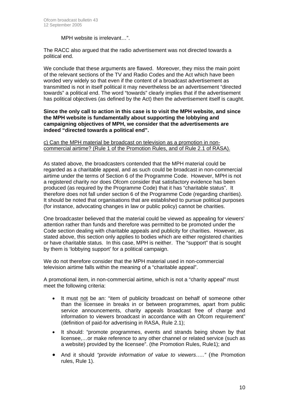MPH website is irrelevant…".

The RACC also argued that the radio advertisement was not directed towards a political end.

We conclude that these arguments are flawed. Moreover, they miss the main point of the relevant sections of the TV and Radio Codes and the Act which have been worded very widely so that even if the content of a broadcast advertisement as transmitted is not in itself political it may nevertheless be an advertisement "directed towards" a political end. The word "towards" clearly implies that if the advertisement has political objectives (as defined by the Act) then the advertisement itself is caught.

#### **Since the only call to action in this case is to visit the MPH website, and since the MPH website is fundamentally about supporting the lobbying and campaigning objectives of MPH, we consider that the advertisements are indeed "directed towards a political end".**

c) Can the MPH material be broadcast on television as a promotion in noncommercial airtime? (Rule 1 of the Promotion Rules, and of Rule 2.1 of RASA).

As stated above, the broadcasters contended that the MPH material could be regarded as a charitable appeal, and as such could be broadcast in non-commercial airtime under the terms of Section 6 of the Programme Code. However, MPH is not a registered charity nor does Ofcom consider that satisfactory evidence has been produced (as required by the Programme Code) that it has "charitable status". It therefore does not fall under section 6 of the Programme Code (regarding charities). It should be noted that organisations that are established to pursue political purposes (for instance, advocating changes in law or public policy) cannot be charities.

One broadcaster believed that the material could be viewed as appealing for viewers' attention rather than funds and therefore was permitted to be promoted under the Code section dealing with charitable appeals and publicity for charities. However, as stated above, this section only applies to bodies which are either registered charities or have charitable status. In this case, MPH is neither. The "support" that is sought by them is 'lobbying support' for a political campaign.

We do not therefore consider that the MPH material used in non-commercial television airtime falls within the meaning of a "charitable appeal".

A promotional item, in non-commercial airtime, which is not a "charity appeal" must meet the following criteria:

- It must not be an: "item of publicity broadcast on behalf of someone other than the licensee in breaks in or between programmes, apart from public service announcements, charity appeals broadcast free of charge and information to viewers broadcast in accordance with an Ofcom requirement" (definition of paid-for advertising in RASA, Rule 2.1);
- It should: "promote programmes, events and strands being shown by that licensee,…or make reference to any other channel or related service (such as a website) provided by the licensee". (the Promotion Rules, Rule1); and
- And it should *"provide information of value to viewers….."* (the Promotion rules, Rule 1).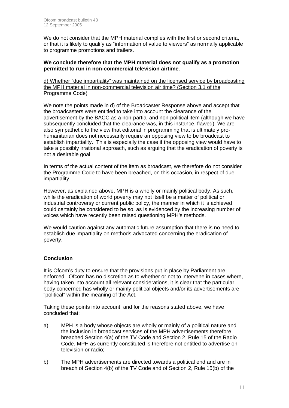We do not consider that the MPH material complies with the first or second criteria, or that it is likely to qualify as "information of value to viewers" as normally applicable to programme promotions and trailers.

#### **We conclude therefore that the MPH material does not qualify as a promotion permitted to run in non-commercial television airtime**.

#### d) Whether "due impartiality" was maintained on the licensed service by broadcasting the MPH material in non-commercial television air time? (Section 3.1 of the Programme Code)

We note the points made in d) of the Broadcaster Response above and accept that the broadcasters were entitled to take into account the clearance of the advertisement by the BACC as a non-partial and non-political item (although we have subsequently concluded that the clearance was, in this instance, flawed). We are also sympathetic to the view that editorial in programming that is ultimately prohumanitarian does not necessarily require an opposing view to be broadcast to establish impartiality. This is especially the case if the opposing view would have to take a possibly irrational approach, such as arguing that the eradication of poverty is not a desirable goal.

In terms of the actual content of the item as broadcast, we therefore do not consider the Programme Code to have been breached, on this occasion, in respect of due impartiality.

However, as explained above, MPH is a wholly or mainly political body. As such, while the eradication of world poverty may not itself be a matter of political or industrial controversy or current public policy, the manner in which it is achieved could certainly be considered to be so, as is evidenced by the increasing number of voices which have recently been raised questioning MPH's methods.

We would caution against any automatic future assumption that there is no need to establish due impartiality on methods advocated concerning the eradication of poverty.

### **Conclusion**

It is Ofcom's duty to ensure that the provisions put in place by Parliament are enforced. Ofcom has no discretion as to whether or not to intervene in cases where, having taken into account all relevant considerations, it is clear that the particular body concerned has wholly or mainly political objects and/or its advertisements are "political" within the meaning of the Act.

Taking these points into account, and for the reasons stated above, we have concluded that:

- a) MPH is a body whose objects are wholly or mainly of a political nature and the inclusion in broadcast services of the MPH advertisements therefore breached Section 4(a) of the TV Code and Section 2, Rule 15 of the Radio Code. MPH as currently constituted is therefore not entitled to advertise on television or radio;
- b) The MPH advertisements are directed towards a political end and are in breach of Section 4(b) of the TV Code and of Section 2, Rule 15(b) of the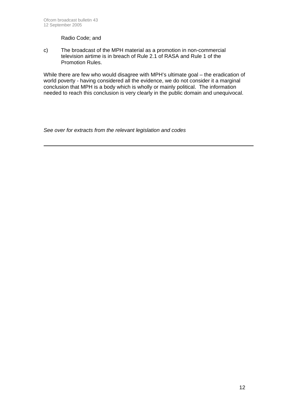Radio Code; and

c) The broadcast of the MPH material as a promotion in non-commercial television airtime is in breach of Rule 2.1 of RASA and Rule 1 of the Promotion Rules.

While there are few who would disagree with MPH's ultimate goal – the eradication of world poverty - having considered all the evidence, we do not consider it a marginal conclusion that MPH is a body which is wholly or mainly political. The information needed to reach this conclusion is very clearly in the public domain and unequivocal.

*See over for extracts from the relevant legislation and codes*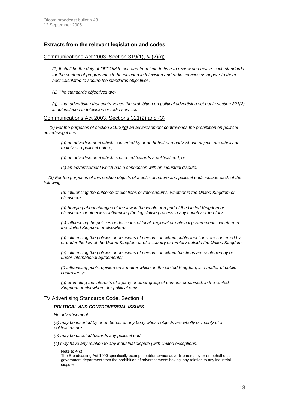#### **Extracts from the relevant legislation and codes**

#### Communications Act 2003, Section 319(1), & (2)(g)

*(1) It shall be the duty of OFCOM to set, and from time to time to review and revise, such standards for the content of programmes to be included in television and radio services as appear to them best calculated to secure the standards objectives.* 

*(2) The standards objectives are-* 

*(g) that advertising that contravenes the prohibition on political advertising set out in section 321(2) is not included in television or radio services* 

#### Communications Act 2003, Sections 321(2) and (3)

 *(2) For the purposes of section 319(2)(g) an advertisement contravenes the prohibition on political advertising if it is-* 

*(a) an advertisement which is inserted by or on behalf of a body whose objects are wholly or mainly of a political nature;* 

*(b) an advertisement which is directed towards a political end; or* 

*(c) an advertisement which has a connection with an industrial dispute.* 

 *(3) For the purposes of this section objects of a political nature and political ends include each of the following-* 

*(a) influencing the outcome of elections or referendums, whether in the United Kingdom or elsewhere;* 

*(b) bringing about changes of the law in the whole or a part of the United Kingdom or elsewhere, or otherwise influencing the legislative process in any country or territory;* 

*(c) influencing the policies or decisions of local, regional or national governments, whether in the United Kingdom or elsewhere;* 

*(d) influencing the policies or decisions of persons on whom public functions are conferred by or under the law of the United Kingdom or of a country or territory outside the United Kingdom;* 

*(e) influencing the policies or decisions of persons on whom functions are conferred by or under international agreements;* 

*(f) influencing public opinion on a matter which, in the United Kingdom, is a matter of public controversy;* 

*(g) promoting the interests of a party or other group of persons organised, in the United Kingdom or elsewhere, for political ends.* 

#### TV Advertising Standards Code, Section 4

#### *POLITICAL AND CONTROVERSIAL ISSUES*

*No advertisement:* 

*(a) may be inserted by or on behalf of any body whose objects are wholly or mainly of a political nature* 

*(b) may be directed towards any political end* 

*(c) may have any relation to any industrial dispute (with limited exceptions)* 

#### **Note to 4(c):**

The Broadcasting Act 1990 specifically exempts public service advertisements by or on behalf of a government department from the prohibition of advertisements having 'any relation to any industrial dispute'.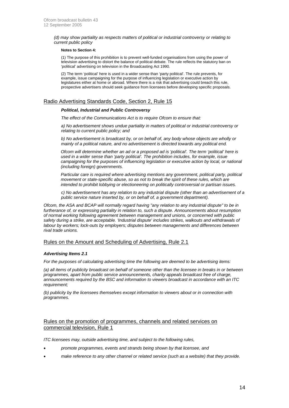*(d) may show partiality as respects matters of political or industrial controversy or relating to current public policy* 

#### **Notes to Section 4:**

(1) The purpose of this prohibition is to prevent well-funded organisations from using the power of television advertising to distort the balance of political debate. The rule reflects the statutory ban on 'political' advertising on television in the Broadcasting Act 1990.

(2) The term 'political' here is used in a wider sense than 'party political'. The rule prevents, for example, issue campaigning for the purpose of influencing legislation or executive action by legislatures either at home or abroad. Where there is a risk that advertising could breach this rule, prospective advertisers should seek guidance from licensees before developing specific proposals.

#### Radio Advertising Standards Code, Section 2, Rule 15

#### *Political, Industrial and Public Controversy*

*The effect of the Communications Act is to require Ofcom to ensure that:* 

*a) No advertisement shows undue partiality in matters of political or industrial controversy or relating to current public policy; and* 

*b) No advertisement is broadcast by, or on behalf of, any body whose objects are wholly or mainly of a political nature, and no advertisement is directed towards any political end.* 

*Ofcom will determine whether an ad or a proposed ad is 'political'. The term 'political' here is used in a wider sense than 'party political'. The prohibition includes, for example, issue campaigning for the purposes of influencing legislation or executive action by local, or national (including foreign) governments.* 

*Particular care is required where advertising mentions any government, political party, political movement or state-specific abuse, so as not to break the spirit of these rules, which are intended to prohibit lobbying or electioneering on politically controversial or partisan issues.* 

*c) No advertisement has any relation to any industrial dispute (other than an advertisement of a public service nature inserted by, or on behalf of, a government department).* 

*Ofcom, the ASA and BCAP will normally regard having "any relation to any industrial dispute" to be in furtherance of, or expressing partiality in relation to, such a dispute. Announcements about resumption of normal working following agreement between management and unions, or concerned with public safety during a strike, are acceptable. 'Industrial dispute' includes strikes, walkouts and withdrawals of labour by workers; lock-outs by employers; disputes between managements and differences between rival trade unions.*

#### Rules on the Amount and Scheduling of Advertising, Rule 2.1

#### *Advertising Items 2.1*

*For the purposes of calculating advertising time the following are deemed to be advertising items:* 

*(a) all items of publicity broadcast on behalf of someone other than the licensee in breaks in or between programmes, apart from public service announcements, charity appeals broadcast free of charge, announcements required by the BSC and information to viewers broadcast in accordance with an ITC requirement;* 

*(b) publicity by the licensees themselves except information to viewers about or in connection with programmes.* 

#### Rules on the promotion of programmes, channels and related services on commercial television, Rule 1

*ITC licensees may, outside advertising time, and subject to the following rules,* 

- *promote programmes, events and strands being shown by that licensee, and*
- *make reference to any other channel or related service (such as a website) that they provide.*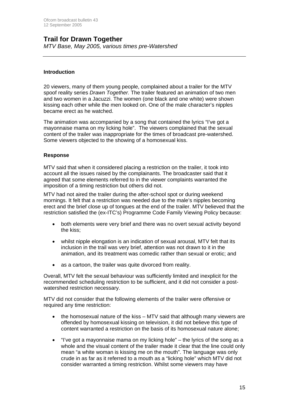## **Trail for Drawn Together**

*MTV Base, May 2005, various times pre-Watershed*

#### **Introduction**

20 viewers, many of them young people, complained about a trailer for the MTV spoof reality series *Drawn Together.* The trailer featured an animation of two men and two women in a Jacuzzi. The women (one black and one white) were shown kissing each other while the men looked on. One of the male character's nipples became erect as he watched.

The animation was accompanied by a song that contained the lyrics "I've got a mayonnaise mama on my licking hole". The viewers complained that the sexual content of the trailer was inappropriate for the times of broadcast pre-watershed. Some viewers objected to the showing of a homosexual kiss.

#### **Response**

MTV said that when it considered placing a restriction on the trailer, it took into account all the issues raised by the complainants. The broadcaster said that it agreed that some elements referred to in the viewer complaints warranted the imposition of a timing restriction but others did not.

MTV had not aired the trailer during the after-school spot or during weekend mornings. It felt that a restriction was needed due to the male's nipples becoming erect and the brief close up of tongues at the end of the trailer. MTV believed that the restriction satisfied the (ex-ITC's) Programme Code Family Viewing Policy because:

- both elements were very brief and there was no overt sexual activity beyond the kiss;
- whilst nipple elongation is an indication of sexual arousal, MTV felt that its inclusion in the trail was very brief, attention was not drawn to it in the animation, and its treatment was comedic rather than sexual or erotic; and
- as a cartoon, the trailer was quite divorced from reality.

Overall, MTV felt the sexual behaviour was sufficiently limited and inexplicit for the recommended scheduling restriction to be sufficient, and it did not consider a postwatershed restriction necessary.

MTV did not consider that the following elements of the trailer were offensive or required any time restriction:

- the homosexual nature of the kiss MTV said that although many viewers are offended by homosexual kissing on television, it did not believe this type of content warranted a restriction on the basis of its homosexual nature alone;
- "I've got a mayonnaise mama on my licking hole"the lyrics of the song as a whole and the visual content of the trailer made it clear that the line could only mean "a white woman is kissing me on the mouth". The language was only crude in as far as it referred to a mouth as a "licking hole" which MTV did not consider warranted a timing restriction. Whilst some viewers may have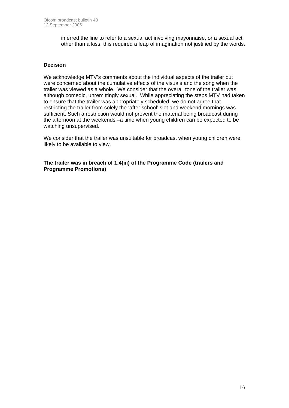inferred the line to refer to a sexual act involving mayonnaise, or a sexual act other than a kiss, this required a leap of imagination not justified by the words.

#### **Decision**

We acknowledge MTV's comments about the individual aspects of the trailer but were concerned about the cumulative effects of the visuals and the song when the trailer was viewed as a whole. We consider that the overall tone of the trailer was, although comedic, unremittingly sexual. While appreciating the steps MTV had taken to ensure that the trailer was appropriately scheduled, we do not agree that restricting the trailer from solely the 'after school' slot and weekend mornings was sufficient. Such a restriction would not prevent the material being broadcast during the afternoon at the weekends –a time when young children can be expected to be watching unsupervised.

We consider that the trailer was unsuitable for broadcast when young children were likely to be available to view.

**The trailer was in breach of 1.4(iii) of the Programme Code (trailers and Programme Promotions)**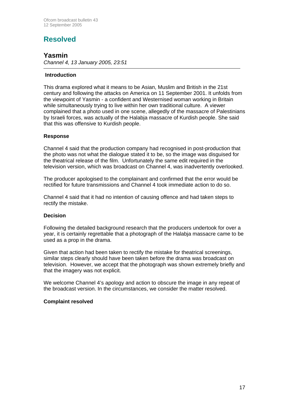# **Resolved**

**Yasmin** 

*Channel 4, 13 January 2005, 23:51*

#### **Introduction**

This drama explored what it means to be Asian, Muslim and British in the 21st century and following the attacks on America on 11 September 2001. It unfolds from the viewpoint of Yasmin - a confident and Westernised woman working in Britain while simultaneously trying to live within her own traditional culture. A viewer complained that a photo used in one scene, allegedly of the massacre of Palestinians by Israeli forces, was actually of the Halabja massacre of Kurdish people. She said that this was offensive to Kurdish people.

#### **Response**

Channel 4 said that the production company had recognised in post-production that the photo was not what the dialogue stated it to be, so the image was disguised for the theatrical release of the film. Unfortunately the same edit required in the television version, which was broadcast on Channel 4, was inadvertently overlooked.

The producer apologised to the complainant and confirmed that the error would be rectified for future transmissions and Channel 4 took immediate action to do so.

Channel 4 said that it had no intention of causing offence and had taken steps to rectify the mistake.

#### **Decision**

Following the detailed background research that the producers undertook for over a year, it is certainly regrettable that a photograph of the Halabja massacre came to be used as a prop in the drama.

Given that action had been taken to rectify the mistake for theatrical screenings, similar steps clearly should have been taken before the drama was broadcast on television. However, we accept that the photograph was shown extremely briefly and that the imagery was not explicit.

We welcome Channel 4's apology and action to obscure the image in any repeat of the broadcast version. In the circumstances, we consider the matter resolved.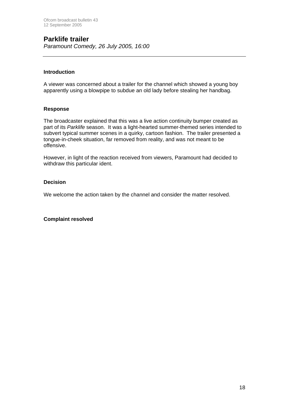# **Parklife trailer**

*Paramount Comedy, 26 July 2005, 16:00*

### **Introduction**

A viewer was concerned about a trailer for the channel which showed a young boy apparently using a blowpipe to subdue an old lady before stealing her handbag.

#### **Response**

The broadcaster explained that this was a live action continuity bumper created as part of its *Parklife* season. It was a light-hearted summer-themed series intended to subvert typical summer scenes in a quirky, cartoon fashion. The trailer presented a tongue-in-cheek situation, far removed from reality, and was not meant to be offensive.

However, in light of the reaction received from viewers, Paramount had decided to withdraw this particular ident.

#### **Decision**

We welcome the action taken by the channel and consider the matter resolved.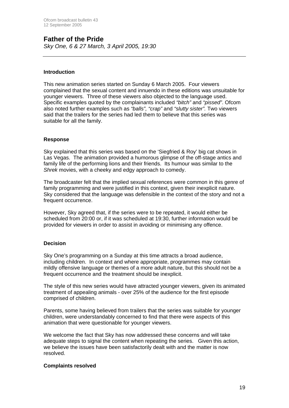# **Father of the Pride**

*Sky One, 6 & 27 March, 3 April 2005, 19:30*

#### **Introduction**

This new animation series started on Sunday 6 March 2005. Four viewers complained that the sexual content and innuendo in these editions was unsuitable for younger viewers. Three of these viewers also objected to the language used. Specific examples quoted by the complainants included *"bitch"* and *"pissed"*. Ofcom also noted further examples such as *"balls", "crap"* and *"slutty sister".* Two viewers said that the trailers for the series had led them to believe that this series was suitable for all the family.

#### **Response**

Sky explained that this series was based on the 'Siegfried & Roy' big cat shows in Las Vegas. The animation provided a humorous glimpse of the off-stage antics and family life of the performing lions and their friends. Its humour was similar to the *Shrek* movies, with a cheeky and edgy approach to comedy.

The broadcaster felt that the implied sexual references were common in this genre of family programming and were justified in this context, given their inexplicit nature. Sky considered that the language was defensible in the context of the story and not a frequent occurrence.

However, Sky agreed that, if the series were to be repeated, it would either be scheduled from 20:00 or, if it was scheduled at 19:30, further information would be provided for viewers in order to assist in avoiding or minimising any offence.

### **Decision**

Sky One's programming on a Sunday at this time attracts a broad audience, including children. In context and where appropriate, programmes may contain mildly offensive language or themes of a more adult nature, but this should not be a frequent occurrence and the treatment should be inexplicit.

The style of this new series would have attracted younger viewers, given its animated treatment of appealing animals - over 25% of the audience for the first episode comprised of children.

Parents, some having believed from trailers that the series was suitable for younger children, were understandably concerned to find that there were aspects of this animation that were questionable for younger viewers.

We welcome the fact that Sky has now addressed these concerns and will take adequate steps to signal the content when repeating the series. Given this action, we believe the issues have been satisfactorily dealt with and the matter is now resolved.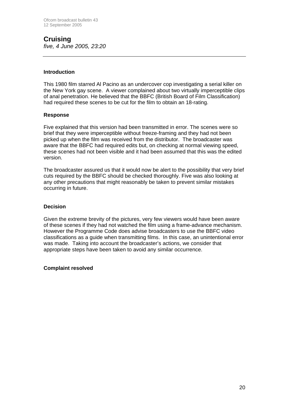# **Cruising**

*five, 4 June 2005, 23:20*

#### **Introduction**

This 1980 film starred Al Pacino as an undercover cop investigating a serial killer on the New York gay scene. A viewer complained about two virtually imperceptible clips of anal penetration. He believed that the BBFC (British Board of Film Classification) had required these scenes to be cut for the film to obtain an 18-rating.

#### **Response**

Five explained that this version had been transmitted in error. The scenes were so brief that they were imperceptible without freeze-framing and they had not been picked up when the film was received from the distributor. The broadcaster was aware that the BBFC had required edits but, on checking at normal viewing speed, these scenes had not been visible and it had been assumed that this was the edited version.

The broadcaster assured us that it would now be alert to the possibility that very brief cuts required by the BBFC should be checked thoroughly. Five was also looking at any other precautions that might reasonably be taken to prevent similar mistakes occurring in future.

#### **Decision**

Given the extreme brevity of the pictures, very few viewers would have been aware of these scenes if they had not watched the film using a frame-advance mechanism. However the Programme Code does advise broadcasters to use the BBFC video classifications as a guide when transmitting films. In this case, an unintentional error was made. Taking into account the broadcaster's actions, we consider that appropriate steps have been taken to avoid any similar occurrence.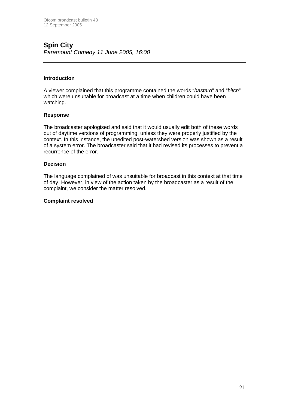### **Spin City**  *Paramount Comedy 11 June 2005, 16:00*

#### **Introduction**

A viewer complained that this programme contained the words "*bastard*" and "*bitch*" which were unsuitable for broadcast at a time when children could have been watching.

#### **Response**

The broadcaster apologised and said that it would usually edit both of these words out of daytime versions of programming, unless they were properly justified by the context. In this instance, the unedited post-watershed version was shown as a result of a system error. The broadcaster said that it had revised its processes to prevent a recurrence of the error.

#### **Decision**

The language complained of was unsuitable for broadcast in this context at that time of day. However, in view of the action taken by the broadcaster as a result of the complaint, we consider the matter resolved.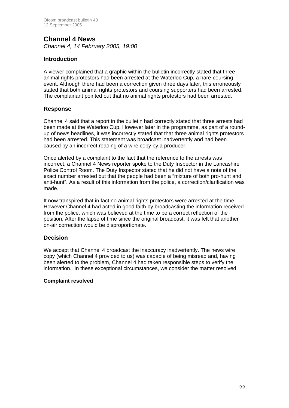### **Channel 4 News**  *Channel 4, 14 February 2005, 19:00*

### **Introduction**

A viewer complained that a graphic within the bulletin incorrectly stated that three animal rights protestors had been arrested at the Waterloo Cup, a hare-coursing event. Although there had been a correction given three days later, this erroneously stated that both animal rights protestors and coursing supporters had been arrested. The complainant pointed out that no animal rights protestors had been arrested.

### **Response**

Channel 4 said that a report in the bulletin had correctly stated that three arrests had been made at the Waterloo Cup. However later in the programme, as part of a roundup of news headlines, it was incorrectly stated that that three animal rights protestors had been arrested. This statement was broadcast inadvertently and had been caused by an incorrect reading of a wire copy by a producer.

Once alerted by a complaint to the fact that the reference to the arrests was incorrect, a Channel 4 News reporter spoke to the Duty Inspector in the Lancashire Police Control Room. The Duty Inspector stated that he did not have a note of the exact number arrested but that the people had been a "mixture of both pro-hunt and anti-hunt". As a result of this information from the police, a correction/clarification was made.

It now transpired that in fact no animal rights protestors were arrested at the time. However Channel 4 had acted in good faith by broadcasting the information received from the police, which was believed at the time to be a correct reflection of the position. After the lapse of time since the original broadcast, it was felt that another on-air correction would be disproportionate.

### **Decision**

We accept that Channel 4 broadcast the inaccuracy inadvertently. The news wire copy (which Channel 4 provided to us) was capable of being misread and, having been alerted to the problem, Channel 4 had taken responsible steps to verify the information. In these exceptional circumstances, we consider the matter resolved.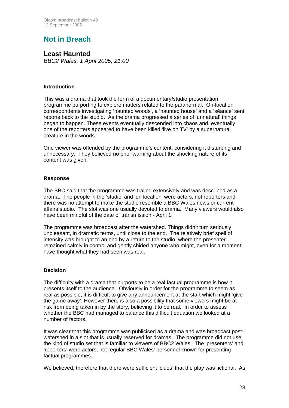# **Not in Breach**

**Least Haunted**  *BBC2 Wales, 1 April 2005, 21:00*

#### **Introduction**

This was a drama that took the form of a documentary/studio presentation programme purporting to explore matters related to the paranormal. On-location correspondents investigating 'haunted woods', a 'haunted house' and a 'séance' sent reports back to the studio. As the drama progressed a series of 'unnatural' things began to happen. These events eventually descended into chaos and, eventually one of the reporters appeared to have been killed 'live on TV' by a supernatural creature in the woods.

One viewer was offended by the programme's content, considering it disturbing and unnecessary. They believed no prior warning about the shocking nature of its content was given.

#### **Response**

The BBC said that the programme was trailed extensively and was described as a drama. The people in the 'studio' and 'on location' were actors, not reporters and there was no attempt to make the studio resemble a BBC Wales news or current affairs studio. The slot was one usually devoted to drama. Many viewers would also have been mindful of the date of transmission - April 1.

The programme was broadcast after the watershed. Things didn't turn seriously unpleasant, in dramatic terms, until close to the end. The relatively brief spell of intensity was brought to an end by a return to the studio, where the presenter remained calmly in control and gently chided anyone who might, even for a moment, have thought what they had seen was real.

#### **Decision**

The difficulty with a drama that purports to be a real factual programme is how it presents itself to the audience. Obviously in order for the programme to seem as real as possible, it is difficult to give any announcement at the start which might 'give the game away'. However there is also a possibility that some viewers might be at risk from being taken in by the story, believing it to be real. In order to assess whether the BBC had managed to balance this difficult equation we looked at a number of factors.

It was clear that this programme was publicised as a drama and was broadcast postwatershed in a slot that is usually reserved for dramas. The programme did not use the kind of studio set that is familiar to viewers of BBC2 Wales. The 'presenters' and 'reporters' were actors, not regular BBC Wales' personnel known for presenting factual programmes.

We believed, therefore that there were sufficient 'clues' that the play was fictional. As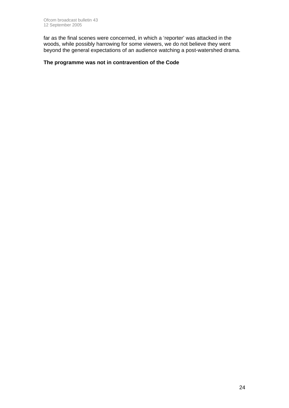far as the final scenes were concerned, in which a 'reporter' was attacked in the woods, while possibly harrowing for some viewers, we do not believe they went beyond the general expectations of an audience watching a post-watershed drama.

### **The programme was not in contravention of the Code**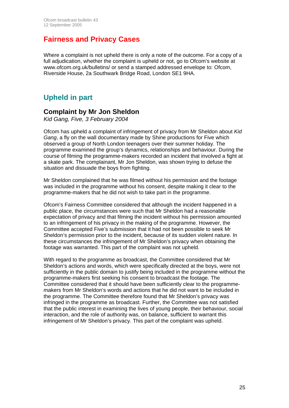# **Fairness and Privacy Cases**

Where a complaint is not upheld there is only a note of the outcome. For a copy of a full adjudication, whether the complaint is upheld or not, go to Ofcom's website at www.ofcom.org.uk/bulletins/ or send a stamped addressed envelope to: Ofcom, Riverside House, 2a Southwark Bridge Road, London SE1 9HA.

# **Upheld in part**

### **Complaint by Mr Jon Sheldon**

*Kid Gang, Five, 3 February 2004* 

Ofcom has upheld a complaint of infringement of privacy from Mr Sheldon about *Kid Gang*, a fly on the wall documentary made by Shine productions for Five which observed a group of North London teenagers over their summer holiday. The programme examined the group's dynamics, relationships and behaviour. During the course of filming the programme-makers recorded an incident that involved a fight at a skate park. The complainant, Mr Jon Sheldon, was shown trying to defuse the situation and dissuade the boys from fighting.

Mr Sheldon complained that he was filmed without his permission and the footage was included in the programme without his consent, despite making it clear to the programme-makers that he did not wish to take part in the programme.

Ofcom's Fairness Committee considered that although the incident happened in a public place, the circumstances were such that Mr Sheldon had a reasonable expectation of privacy and that filming the incident without his permission amounted to an infringement of his privacy in the making of the programme. However, the Committee accepted Five's submission that it had not been possible to seek Mr Sheldon's permission prior to the incident, because of its sudden violent nature. In these circumstances the infringement of Mr Sheldon's privacy when obtaining the footage was warranted. This part of the complaint was not upheld.

With regard to the programme as broadcast, the Committee considered that Mr Sheldon's actions and words, which were specifically directed at the boys, were not sufficiently in the public domain to justify being included in the programme without the programme-makers first seeking his consent to broadcast the footage. The Committee considered that it should have been sufficiently clear to the programmemakers from Mr Sheldon's words and actions that he did not want to be included in the programme. The Committee therefore found that Mr Sheldon's privacy was infringed in the programme as broadcast. Further, the Committee was not satisfied that the public interest in examining the lives of young people, their behaviour, social interaction, and the role of authority was, on balance, sufficient to warrant this infringement of Mr Sheldon's privacy. This part of the complaint was upheld.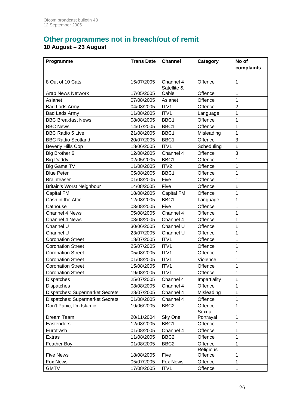### **Other programmes not in breach/out of remit 10 August – 23 August**

| Programme                              | <b>Trans Date</b>        | <b>Channel</b>   | Category            | No of          |
|----------------------------------------|--------------------------|------------------|---------------------|----------------|
|                                        |                          |                  |                     | complaints     |
|                                        |                          |                  |                     |                |
| 8 Out of 10 Cats                       | 15/07/2005               | Channel 4        | Offence             | 1              |
|                                        |                          | Satellite &      |                     |                |
| <b>Arab News Network</b><br>Asianet    | 17/05/2005<br>07/08/2005 | Cable<br>Asianet | Offence<br>Offence  | 1<br>1         |
| <b>Bad Lads Army</b>                   | 04/08/2005               | ITV1             | Offence             | $\overline{2}$ |
| <b>Bad Lads Army</b>                   | 11/08/2005               | ITV1             | Language            | 1              |
| <b>BBC Breakfast News</b>              | 08/08/2005               | BBC1             | Offence             | $\mathbf 1$    |
| <b>BBC News</b>                        | 14/07/2005               | BBC1             | Offence             | 1              |
| <b>BBC Radio 5 Live</b>                | 21/08/2005               | BBC1             | Misleading          | $\mathbf 1$    |
| <b>BBC Radio Scotland</b>              | 20/07/2005               | BBC1             | Offence             | 3              |
| <b>Beverly Hills Cop</b>               | 18/06/2005               | ITV1             | Scheduling          | $\mathbf 1$    |
| Big Brother 6                          | 12/08/2005               | Channel 4        | Offence             | 3              |
| <b>Big Daddy</b>                       | 02/05/2005               | BBC1             | Offence             | 1              |
| Big Game TV                            | 11/08/2005               | ITV2             | Offence             | 1              |
| <b>Blue Peter</b>                      | 05/08/2005               | BBC1             | Offence             | 1              |
| <b>Brainteaser</b>                     | 01/08/2005               | Five             | Offence             | 1              |
| <b>Britain's Worst Neighbour</b>       | 14/08/2005               | Five             | Offence             | 1              |
| <b>Capital FM</b>                      | 18/08/2005               | Capital FM       | Offence             | 1              |
| Cash in the Attic                      | 12/08/2005               | BBC1             | Language            | $\mathbf{1}$   |
| Cathouse                               | 03/08/2005               | Five             | Offence             | 1              |
| <b>Channel 4 News</b>                  | 05/08/2005               | Channel 4        | Offence             | 1              |
| <b>Channel 4 News</b>                  | 08/08/2005               | Channel 4        | Offence             | 1              |
| Channel U                              | 30/06/2005               | Channel U        | Offence             | $\mathbf{1}$   |
| Channel U                              | 23/07/2005               | Channel U        | Offence             | 1              |
| <b>Coronation Street</b>               | 18/07/2005               | ITV1             | Offence             | 1              |
| <b>Coronation Street</b>               | 25/07/2005               | ITV1             | Offence             | 1              |
| <b>Coronation Street</b>               | 05/08/2005               | ITV1             | Offence             | 1              |
| <b>Coronation Street</b>               | 01/08/2005               | ITV1             | Violence            | 1              |
| <b>Coronation Street</b>               | 15/08/2005               | ITV1             | Offence             | 1              |
| <b>Coronation Street</b>               | 19/08/2005               | ITV1             | Offence             | 1              |
| Dispatches                             | 25/07/2005               | Channel 4        | Impartiality        | 1              |
| Dispatches                             | 08/08/2005               | Channel 4        | Offence             | 1              |
| <b>Dispatches: Supermarket Secrets</b> | 28/07/2005               | Channel 4        | Misleading          | 1              |
| Dispatches: Supermarket Secrets        | 01/08/2005               | Channel 4        | Offence             | 1              |
| Don't Panic, I'm Islamic               | 19/06/2005               | BBC <sub>2</sub> | Offence             | $\mathbf{1}$   |
| Dream Team                             | 20/11/2004               | Sky One          | Sexual<br>Portrayal | 1              |
| Eastenders                             | 12/08/2005               | BBC1             | Offence             | 1              |
| Eurotrash                              | 01/08/2005               | Channel 4        | Offence             | $\mathbf{1}$   |
| <b>Extras</b>                          | 11/08/2005               | BBC <sub>2</sub> | Offence             | 1              |
| Feather Boy                            | 01/08/2005               | BBC <sub>2</sub> | Offence             | 1              |
|                                        |                          |                  | Religious           |                |
| <b>Five News</b>                       | 18/08/2005               | Five             | Offence             | 1              |
| Fox News                               | 05/07/2005               | Fox News         | Offence             | 1              |
| <b>GMTV</b>                            | 17/08/2005               | ITV1             | Offence             | 1              |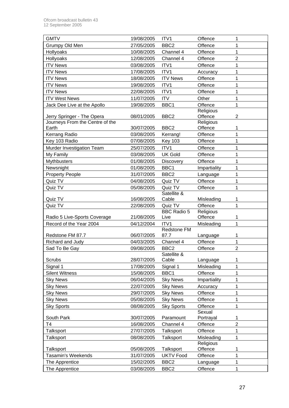| <b>GMTV</b>                     | 19/08/2005 | ITV1                          | Offence              | 1              |
|---------------------------------|------------|-------------------------------|----------------------|----------------|
| Grumpy Old Men                  | 27/05/2005 | BBC <sub>2</sub>              | Offence              | 1              |
| Hollyoaks                       | 10/08/2005 | Channel 4                     | Offence              | 1              |
| Hollyoaks                       | 12/08/2005 | Channel 4                     | Offence              | $\overline{2}$ |
| <b>ITV News</b>                 | 03/08/2005 | ITV1                          | Offence              | 1              |
| <b>ITV News</b>                 | 17/08/2005 | ITV1                          | Accuracy             | $\mathbf 1$    |
| <b>ITV News</b>                 | 18/08/2005 | <b>ITV News</b>               | Offence              | $\mathbf 1$    |
| <b>ITV News</b>                 | 19/08/2005 | ITV1                          | Offence              | $\mathbf 1$    |
| <b>ITV News</b>                 | 22/08/2005 | ITV1                          | Offence              | $\mathbf 1$    |
| <b>ITV West News</b>            | 11/07/2005 | <b>ITV</b>                    | Other                | 1              |
| Jack Dee Live at the Apollo     | 19/08/2005 | BBC1                          | Offence              | $\mathbf 1$    |
|                                 |            |                               | Religious            |                |
| Jerry Springer - The Opera      | 08/01/2005 | BBC <sub>2</sub>              | Offence              | $\overline{2}$ |
| Journeys From the Centre of the |            |                               | Religious            |                |
| Earth                           | 30/07/2005 | BBC <sub>2</sub>              | Offence              | 1              |
| Kerrang Radio                   | 03/08/2005 | Kerrang!                      | Offence              | $\mathbf 1$    |
| Key 103 Radio                   | 07/08/2005 | <b>Key 103</b>                | Offence              | $\mathbf 1$    |
| Murder Investigation Team       | 25/07/2005 | ITV1                          | Offence              | 1              |
| My Family                       | 03/08/2005 | <b>UK Gold</b>                | Offence              | $\mathbf 1$    |
| <b>Mythbusters</b>              | 01/08/2005 | <b>Discovery</b>              | Offence              | $\mathbf{1}$   |
| Newsnight                       | 01/08/2005 | BBC1                          | Impartiality         | 1              |
| <b>Property People</b>          | 31/07/2005 | BBC <sub>2</sub>              | Language             | 1              |
| Quiz TV                         | 04/08/2005 | Quiz TV                       | Offence              | $\mathbf 1$    |
| Quiz TV                         | 05/08/2005 | Quiz TV                       | Offence              | $\mathbf{1}$   |
|                                 |            | Satellite &                   |                      |                |
| Quiz TV                         | 16/08/2005 | Cable                         | Misleading           | 1              |
| Quiz TV                         | 22/08/2005 | Quiz TV<br><b>BBC Radio 5</b> | Offence              | $\mathbf{1}$   |
| Radio 5 Live-Sports Coverage    | 21/08/2005 | Live                          | Religious<br>Offence | 1              |
| Record of the Year 2004         | 04/12/2004 | ITV1                          | Misleading           | 1              |
|                                 |            | <b>Redstone FM</b>            |                      |                |
| Redstone FM 87.7                | 06/07/2005 | 87.7                          | Language             | 1              |
| Richard and Judy                | 04/03/2005 | Channel 4                     | Offence              | $\mathbf 1$    |
| Sad To Be Gay                   | 09/08/2005 | BBC <sub>2</sub>              | Offence              | $\overline{2}$ |
|                                 |            | Satellite &                   |                      |                |
| Scrubs                          | 28/07/2005 | Cable                         | Language             | 1              |
| Signal 1                        | 17/08/2005 | Signal 1                      | Misleading           | $\mathbf{1}$   |
| <b>Silent Witness</b>           | 15/08/2005 | BBC1                          | Offence              | 1              |
| <b>Sky News</b>                 | 06/04/2005 | <b>Sky News</b>               | Impartiality         | $\mathbf 1$    |
| <b>Sky News</b>                 | 22/07/2005 | <b>Sky News</b>               | Accuracy             | 1              |
| <b>Sky News</b>                 | 29/07/2005 | <b>Sky News</b>               | Offence              | 1              |
| <b>Sky News</b>                 | 05/08/2005 | <b>Sky News</b>               | Offence              | 1              |
| <b>Sky Sports</b>               | 08/08/2005 | <b>Sky Sports</b>             | Offence              | $\mathbf 1$    |
|                                 |            |                               | Sexual               |                |
| South Park                      | 30/07/2005 | Paramount                     | Portrayal            | 1              |
| T4                              | 16/08/2005 | Channel 4                     | Offence              | $\overline{c}$ |
| Talksport                       | 27/07/2005 | Talksport                     | Offence              | 1              |
| Talksport                       | 08/08/2005 | Talksport                     | Misleading           | 1              |
|                                 |            |                               | Religious<br>Offence | 1              |
| Talksport                       | 05/08/2005 | Talksport                     |                      | $\mathbf 1$    |
| <b>Tasamin's Weekends</b>       | 31/07/2005 | <b>UKTV Food</b>              | Offence              | 1              |
| The Apprentice                  | 15/02/2005 | BBC <sub>2</sub>              | Language             |                |
| The Apprentice                  | 03/08/2005 | BBC <sub>2</sub>              | Offence              | 1              |